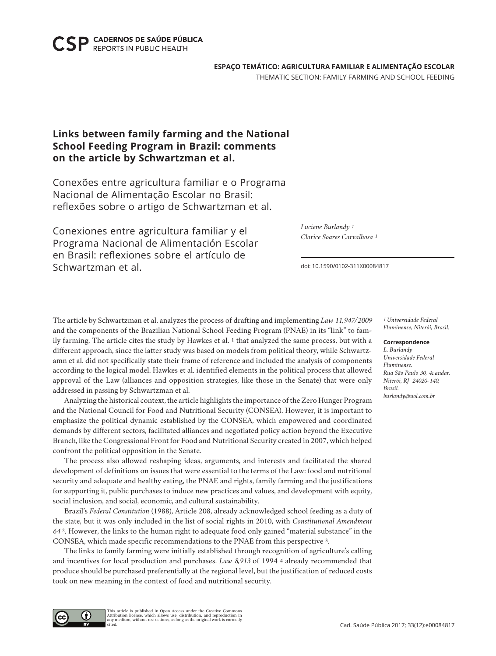## **Links between family farming and the National School Feeding Program in Brazil: comments on the article by Schwartzman et al.**

Conexões entre agricultura familiar e o Programa Nacional de Alimentação Escolar no Brasil: reflexões sobre o artigo de Schwartzman et al.

Conexiones entre agricultura familiar y el Programa Nacional de Alimentación Escolar en Brasil: reflexiones sobre el artículo de Schwartzman et al.

*Luciene Burlandy 1 Clarice Soares Carvalhosa 1*

doi: 10.1590/0102-311X00084817

The article by Schwartzman et al. analyzes the process of drafting and implementing *Law 11,947/2009* and the components of the Brazilian National School Feeding Program (PNAE) in its "link" to family farming. The article cites the study by Hawkes et al. 1 that analyzed the same process, but with a different approach, since the latter study was based on models from political theory, while Schwartzamn et al. did not specifically state their frame of reference and included the analysis of components according to the logical model. Hawkes et al. identified elements in the political process that allowed approval of the Law (alliances and opposition strategies, like those in the Senate) that were only addressed in passing by Schwartzman et al.

Analyzing the historical context, the article highlights the importance of the Zero Hunger Program and the National Council for Food and Nutritional Security (CONSEA). However, it is important to emphasize the political dynamic established by the CONSEA, which empowered and coordinated demands by different sectors, facilitated alliances and negotiated policy action beyond the Executive Branch, like the Congressional Front for Food and Nutritional Security created in 2007, which helped confront the political opposition in the Senate.

The process also allowed reshaping ideas, arguments, and interests and facilitated the shared development of definitions on issues that were essential to the terms of the Law: food and nutritional security and adequate and healthy eating, the PNAE and rights, family farming and the justifications for supporting it, public purchases to induce new practices and values, and development with equity, social inclusion, and social, economic, and cultural sustainability.

Brazil's *Federal Constitution* (1988), Article 208, already acknowledged school feeding as a duty of the state, but it was only included in the list of social rights in 2010, with *Constitutional Amendment 64* 2. However, the links to the human right to adequate food only gained "material substance" in the CONSEA, which made specific recommendations to the PNAE from this perspective 3.

The links to family farming were initially established through recognition of agriculture's calling and incentives for local production and purchases. *Law 8,913* of 1994 4 already recommended that produce should be purchased preferentially at the regional level, but the justification of reduced costs took on new meaning in the context of food and nutritional security.

> This article is published in Open Access under the Creative Commons Attribution license, which allows use, distribution, and reproduction in any medium, without restrictions, as long as the original work is correctly

*1 Universidade Federal Fluminense, Niterói, Brasil.*

## **Correspondence**

*L. Burlandy Universidade Federal Fluminense. Rua São Paulo 30, 4o andar, Niterói, RJ 24020-140, Brasil. burlandy@uol.com.br*



cited.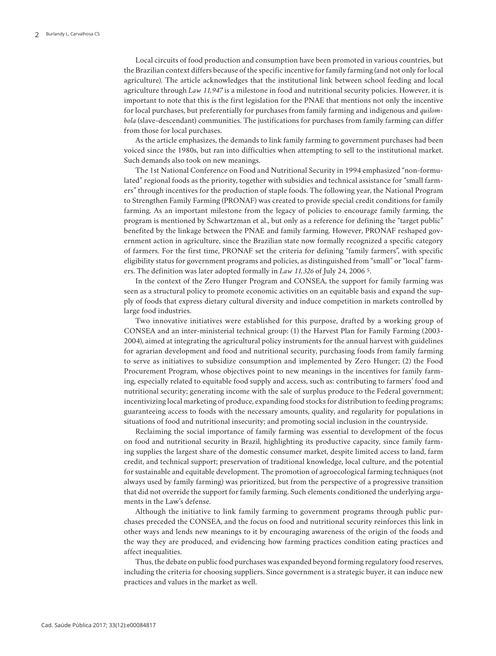Local circuits of food production and consumption have been promoted in various countries, but the Brazilian context differs because of the specific incentive for family farming (and not only for local agriculture). The article acknowledges that the institutional link between school feeding and local agriculture through *Law 11,947* is a milestone in food and nutritional security policies. However, it is important to note that this is the first legislation for the PNAE that mentions not only the incentive for local purchases, but preferentially for purchases from family farming and indigenous and *quilombola* (slave-descendant) communities. The justifications for purchases from family farming can differ from those for local purchases.

As the article emphasizes, the demands to link family farming to government purchases had been voiced since the 1980s, but ran into difficulties when attempting to sell to the institutional market. Such demands also took on new meanings.

The 1st National Conference on Food and Nutritional Security in 1994 emphasized "non-formulated" regional foods as the priority, together with subsidies and technical assistance for "small farmers" through incentives for the production of staple foods. The following year, the National Program to Strengthen Family Farming (PRONAF) was created to provide special credit conditions for family farming. As an important milestone from the legacy of policies to encourage family farming, the program is mentioned by Schwartzman et al., but only as a reference for defining the "target public" benefited by the linkage between the PNAE and family farming. However, PRONAF reshaped government action in agriculture, since the Brazilian state now formally recognized a specific category of farmers. For the first time, PRONAF set the criteria for defining "family farmers", with specific eligibility status for government programs and policies, as distinguished from "small" or "local" farmers. The definition was later adopted formally in *Law 11,326* of July 24, 2006 5.

In the context of the Zero Hunger Program and CONSEA, the support for family farming was seen as a structural policy to promote economic activities on an equitable basis and expand the supply of foods that express dietary cultural diversity and induce competition in markets controlled by large food industries.

Two innovative initiatives were established for this purpose, drafted by a working group of CONSEA and an inter-ministerial technical group: (1) the Harvest Plan for Family Farming (2003- 2004), aimed at integrating the agricultural policy instruments for the annual harvest with guidelines for agrarian development and food and nutritional security, purchasing foods from family farming to serve as initiatives to subsidize consumption and implemented by Zero Hunger; (2) the Food Procurement Program, whose objectives point to new meanings in the incentives for family farming, especially related to equitable food supply and access, such as: contributing to farmers' food and nutritional security; generating income with the sale of surplus produce to the Federal government; incentivizing local marketing of produce, expanding food stocks for distribution to feeding programs; guaranteeing access to foods with the necessary amounts, quality, and regularity for populations in situations of food and nutritional insecurity; and promoting social inclusion in the countryside.

Reclaiming the social importance of family farming was essential to development of the focus on food and nutritional security in Brazil, highlighting its productive capacity, since family farming supplies the largest share of the domestic consumer market, despite limited access to land, farm credit, and technical support; preservation of traditional knowledge, local culture, and the potential for sustainable and equitable development. The promotion of agroecological farming techniques (not always used by family farming) was prioritized, but from the perspective of a progressive transition that did not override the support for family farming. Such elements conditioned the underlying arguments in the Law's defense.

Although the initiative to link family farming to government programs through public purchases preceded the CONSEA, and the focus on food and nutritional security reinforces this link in other ways and lends new meanings to it by encouraging awareness of the origin of the foods and the way they are produced, and evidencing how farming practices condition eating practices and affect inequalities.

Thus, the debate on public food purchases was expanded beyond forming regulatory food reserves, including the criteria for choosing suppliers. Since government is a strategic buyer, it can induce new practices and values in the market as well.